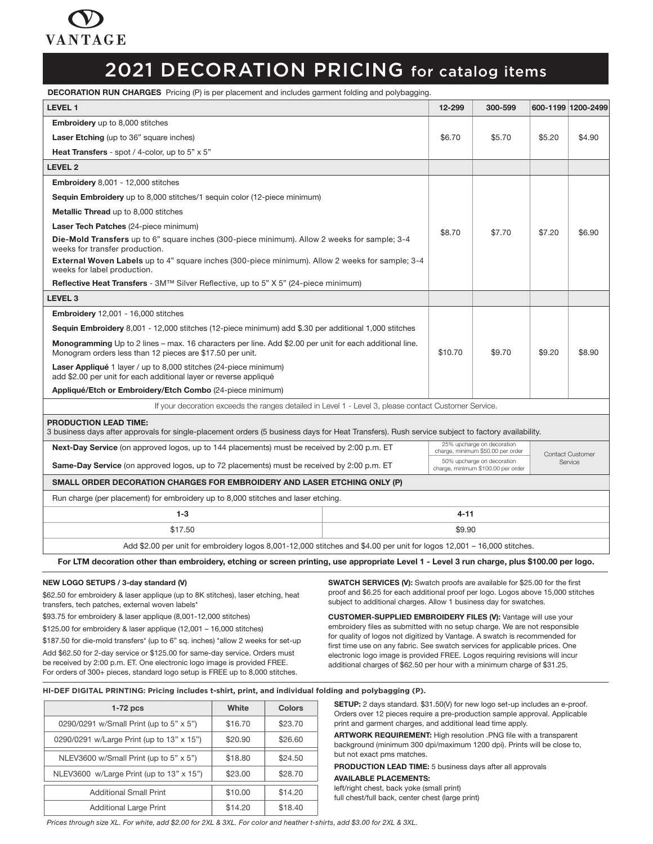

### 2021 DECORATION PRICING for catalog items

DECORATION RUN CHARGES Pricing (P) is per placement and includes garment folding and polybagging.

| <b>LEVEL 1</b>                                                                                                                                                                  |  | 12-299  | 300-599                                                          |        | 600-1199 1200-2499      |
|---------------------------------------------------------------------------------------------------------------------------------------------------------------------------------|--|---------|------------------------------------------------------------------|--------|-------------------------|
| <b>Embroidery</b> up to 8,000 stitches                                                                                                                                          |  |         |                                                                  |        |                         |
| <b>Laser Etching</b> (up to 36" square inches)                                                                                                                                  |  | \$6.70  | \$5.70                                                           | \$5.20 | \$4.90                  |
| <b>Heat Transfers</b> - spot / 4-color, up to $5" \times 5"$                                                                                                                    |  |         |                                                                  |        |                         |
| <b>LEVEL 2</b>                                                                                                                                                                  |  |         |                                                                  |        |                         |
| Embroidery 8,001 - 12,000 stitches                                                                                                                                              |  |         |                                                                  |        |                         |
| <b>Sequin Embroidery</b> up to 8,000 stitches/1 sequin color (12-piece minimum)                                                                                                 |  |         |                                                                  |        |                         |
| Metallic Thread up to 8,000 stitches                                                                                                                                            |  |         |                                                                  |        |                         |
| Laser Tech Patches (24-piece minimum)                                                                                                                                           |  | \$8.70  | \$7.70                                                           |        | \$6.90                  |
| Die-Mold Transfers up to 6" square inches (300-piece minimum). Allow 2 weeks for sample; 3-4<br>weeks for transfer production.                                                  |  |         |                                                                  | \$7.20 |                         |
| <b>External Woven Labels</b> up to 4" square inches (300-piece minimum). Allow 2 weeks for sample; 3-4<br>weeks for label production.                                           |  |         |                                                                  |        |                         |
| Reflective Heat Transfers - 3M™ Silver Reflective, up to 5" X 5" (24-piece minimum)                                                                                             |  |         |                                                                  |        |                         |
| <b>LEVEL 3</b>                                                                                                                                                                  |  |         |                                                                  |        |                         |
| <b>Embroidery</b> 12,001 - 16,000 stitches                                                                                                                                      |  |         |                                                                  |        |                         |
| Sequin Embroidery 8,001 - 12,000 stitches (12-piece minimum) add \$.30 per additional 1,000 stitches                                                                            |  |         |                                                                  |        |                         |
| Monogramming Up to 2 lines – max. 16 characters per line. Add \$2.00 per unit for each additional line.<br>Monogram orders less than 12 pieces are \$17.50 per unit.            |  | \$10.70 | \$9.70                                                           | \$9.20 | \$8.90                  |
| Laser Appliqué 1 layer / up to 8,000 stitches (24-piece minimum)<br>add \$2.00 per unit for each additional layer or reverse appliqué                                           |  |         |                                                                  |        |                         |
| Appliqué/Etch or Embroidery/Etch Combo (24-piece minimum)                                                                                                                       |  |         |                                                                  |        |                         |
| If your decoration exceeds the ranges detailed in Level 1 - Level 3, please contact Customer Service.                                                                           |  |         |                                                                  |        |                         |
| <b>PRODUCTION LEAD TIME:</b><br>3 business days after approvals for single-placement orders (5 business days for Heat Transfers). Rush service subject to factory availability. |  |         |                                                                  |        |                         |
| Next-Day Service (on approved logos, up to 144 placements) must be received by 2:00 p.m. ET                                                                                     |  |         | 25% upcharge on decoration<br>charge, minimum \$50.00 per order  |        | <b>Contact Customer</b> |
| <b>Same-Day Service</b> (on approved logos, up to 72 placements) must be received by 2:00 p.m. ET                                                                               |  |         | 50% upcharge on decoration<br>charge, minimum \$100.00 per order |        | Service                 |
| SMALL ORDER DECORATION CHARGES FOR EMBROIDERY AND LASER ETCHING ONLY (P)                                                                                                        |  |         |                                                                  |        |                         |
| Run charge (per placement) for embroidery up to 8,000 stitches and laser etching.                                                                                               |  |         |                                                                  |        |                         |
| $1 - 3$<br>$4 - 11$                                                                                                                                                             |  |         |                                                                  |        |                         |
| \$17.50<br>\$9.90                                                                                                                                                               |  |         |                                                                  |        |                         |
| Add \$2.00 per unit for embroidery logos 8,001-12,000 stitches and \$4.00 per unit for logos 12,001 - 16,000 stitches.                                                          |  |         |                                                                  |        |                         |
| For LTM decoration other than embroidery, etching or screen printing, use appropriate Level 1 - Level 3 run charge, plus \$100.00 per logo.                                     |  |         |                                                                  |        |                         |
|                                                                                                                                                                                 |  |         |                                                                  |        |                         |

### NEW LOGO SETUPS / 3-day standard (V)

\$62.50 for embroidery & laser applique (up to 8K stitches), laser etching, heat transfers, tech patches, external woven labels\*

\$93.75 for embroidery & laser applique (8,001-12,000 stitches)

\$125.00 for embroidery & laser applique (12,001 – 16,000 stitches)

\$187.50 for die-mold transfers\* (up to 6" sq. inches) \*allow 2 weeks for set-up Add \$62.50 for 2-day service or \$125.00 for same-day service. Orders must be received by 2:00 p.m. ET. One electronic logo image is provided FREE. For orders of 300+ pieces, standard logo setup is FREE up to 8,000 stitches.

SWATCH SERVICES (V): Swatch proofs are available for \$25.00 for the first proof and \$6.25 for each additional proof per logo. Logos above 15,000 stitches subject to additional charges. Allow 1 business day for swatches.

CUSTOMER-SUPPLIED EMBROIDERY FILES (V): Vantage will use your embroidery files as submitted with no setup charge. We are not responsible for quality of logos not digitized by Vantage. A swatch is recommended for first time use on any fabric. See swatch services for applicable prices. One electronic logo image is provided FREE. Logos requiring revisions will incur additional charges of \$62.50 per hour with a minimum charge of \$31.25.

#### **HI-DEF DIGITAL PRINTING: Pricing includes t-shirt, print, and individual folding and polybagging (P).**

| $1-72$ pcs                                | White   | Colors  |
|-------------------------------------------|---------|---------|
| 0290/0291 w/Small Print (up to 5" x 5")   | \$16.70 | \$23.70 |
| 0290/0291 w/Large Print (up to 13" x 15") | \$20.90 | \$26.60 |
| NLEV3600 w/Small Print (up to 5" x 5")    | \$18.80 | \$24.50 |
| NLEV3600 w/Large Print (up to 13" x 15")  | \$23.00 | \$28.70 |
| <b>Additional Small Print</b>             | \$10.00 | \$14.20 |
| <b>Additional Large Print</b>             | \$14.20 | \$18.40 |

SETUP: 2 days standard. \$31.50(V) for new logo set-up includes an e-proof. Orders over 12 pieces require a pre-production sample approval. Applicable print and garment charges, and additional lead time apply.

ARTWORK REQUIREMENT: High resolution .PNG file with a transparent background (minimum 300 dpi/maximum 1200 dpi). Prints will be close to, but not exact pms matches.

PRODUCTION LEAD TIME: 5 business days after all approvals

### AVAILABLE PLACEMENTS:

left/right chest, back yoke (small print)

full chest/full back, center chest (large print)

*Prices through size XL. For white, add \$2.00 for 2XL & 3XL. For color and heather t-shirts, add \$3.00 for 2XL & 3XL.*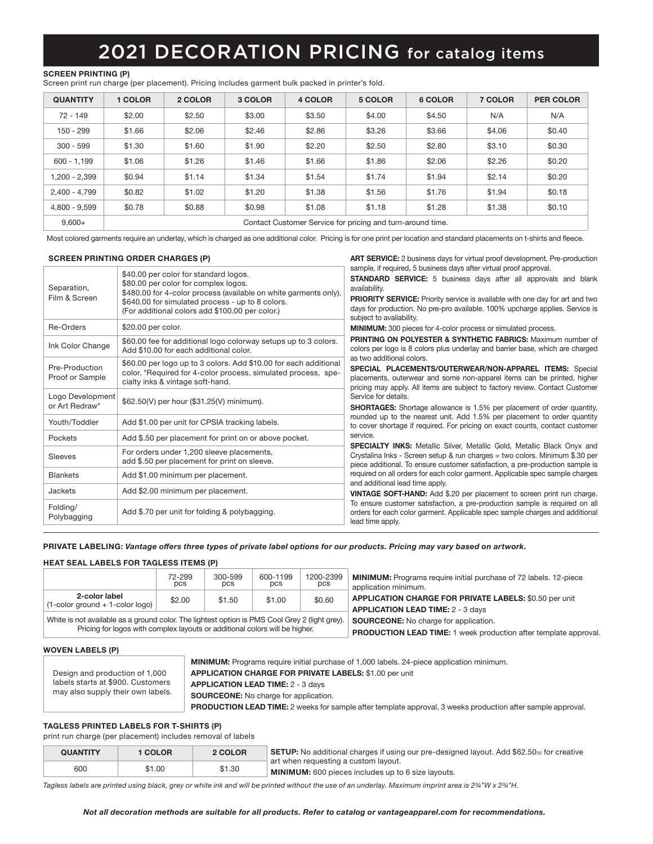## 2021 DECORATION PRICING for catalog items

### SCREEN PRINTING (P)

Screen print run charge (per placement). Pricing includes garment bulk packed in printer's fold.

| <b>QUANTITY</b> | 1 COLOR                                                    | 2 COLOR | 3 COLOR | 4 COLOR | 5 COLOR | 6 COLOR | 7 COLOR | <b>PER COLOR</b> |  |
|-----------------|------------------------------------------------------------|---------|---------|---------|---------|---------|---------|------------------|--|
| $72 - 149$      | \$2.00                                                     | \$2.50  | \$3.00  | \$3.50  | \$4.00  | \$4.50  | N/A     | N/A              |  |
| $150 - 299$     | \$1.66                                                     | \$2.06  | \$2.46  | \$2.86  | \$3.26  | \$3.66  | \$4.06  | \$0.40           |  |
| $300 - 599$     | \$1.30                                                     | \$1.60  | \$1.90  | \$2.20  | \$2.50  | \$2.80  | \$3.10  | \$0.30           |  |
| $600 - 1.199$   | \$1.06                                                     | \$1.26  | \$1.46  | \$1.66  | \$1.86  | \$2.06  | \$2.26  | \$0.20           |  |
| 1.200 - 2.399   | \$0.94                                                     | \$1.14  | \$1.34  | \$1.54  | \$1.74  | \$1.94  | \$2.14  | \$0.20           |  |
| 2,400 - 4,799   | \$0.82                                                     | \$1.02  | \$1.20  | \$1.38  | \$1.56  | \$1.76  | \$1.94  | \$0.18           |  |
| 4.800 - 9.599   | \$0.78                                                     | \$0.88  | \$0.98  | \$1.08  | \$1.18  | \$1.28  | \$1.38  | \$0.10           |  |
| $9.600+$        | Contact Customer Service for pricing and turn-around time. |         |         |         |         |         |         |                  |  |

Most colored garments require an underlay, which is charged as one additional color. Pricing is for one print per location and standard placements on t-shirts and fleece.

#### SCREEN PRINTING ORDER CHARGES (P)

|                                    | <b>SCREEN PRINTING ORDER CHARGES (P)</b>                                                                                                                                                                                                                 | ART SERVICE: 2 business days for virtual proof development. Pre-production                                                                                                                                                                                                                                                                                       |  |  |  |  |  |
|------------------------------------|----------------------------------------------------------------------------------------------------------------------------------------------------------------------------------------------------------------------------------------------------------|------------------------------------------------------------------------------------------------------------------------------------------------------------------------------------------------------------------------------------------------------------------------------------------------------------------------------------------------------------------|--|--|--|--|--|
| Separation,<br>Film & Screen       | \$40.00 per color for standard logos.<br>\$80.00 per color for complex logos.<br>\$480.00 for 4-color process (available on white garments only).<br>\$640.00 for simulated process - up to 8 colors.<br>(For additional colors add \$100.00 per color.) | sample, if required, 5 business days after virtual proof approval.<br><b>STANDARD SERVICE:</b> 5 business days after all approvals and blank<br>availability.<br><b>PRIORITY SERVICE:</b> Priority service is available with one day for art and two<br>days for production. No pre-pro available. 100% upcharge applies. Service is<br>subject to availability. |  |  |  |  |  |
| Re-Orders                          | \$20.00 per color.                                                                                                                                                                                                                                       | MINIMUM: 300 pieces for 4-color process or simulated process.                                                                                                                                                                                                                                                                                                    |  |  |  |  |  |
| Ink Color Change                   | \$60.00 fee for additional logo colorway setups up to 3 colors.<br>Add \$10.00 for each additional color.                                                                                                                                                | <b>PRINTING ON POLYESTER &amp; SYNTHETIC FABRICS: Maximum number of</b><br>colors per logo is 8 colors plus underlay and barrier base, which are charged                                                                                                                                                                                                         |  |  |  |  |  |
| Pre-Production<br>Proof or Sample  | \$60.00 per logo up to 3 colors. Add \$10.00 for each additional<br>color. *Required for 4-color process, simulated process, spe-<br>cialty inks & vintage soft-hand.                                                                                    | as two additional colors.<br>SPECIAL PLACEMENTS/OUTERWEAR/NON-APPAREL ITEMS: Special<br>placements, outerwear and some non-apparel items can be printed, higher<br>pricing may apply. All items are subject to factory review. Contact Customer                                                                                                                  |  |  |  |  |  |
| Logo Development<br>or Art Redraw* | \$62.50(V) per hour (\$31.25(V) minimum).                                                                                                                                                                                                                | Service for details.<br><b>SHORTAGES:</b> Shortage allowance is 1.5% per placement of order quantity,                                                                                                                                                                                                                                                            |  |  |  |  |  |
| Youth/Toddler                      | Add \$1.00 per unit for CPSIA tracking labels.                                                                                                                                                                                                           | rounded up to the nearest unit. Add 1.5% per placement to order quantity<br>to cover shortage if required. For pricing on exact counts, contact customer                                                                                                                                                                                                         |  |  |  |  |  |
| Pockets                            | Add \$.50 per placement for print on or above pocket.                                                                                                                                                                                                    | service.                                                                                                                                                                                                                                                                                                                                                         |  |  |  |  |  |
| Sleeves                            | For orders under 1,200 sleeve placements,<br>add \$.50 per placement for print on sleeve.                                                                                                                                                                | <b>SPECIALTY INKS:</b> Metallic Silver, Metallic Gold, Metallic Black Onyx and<br>Crystalina Inks - Screen setup & run charges = two colors. Minimum \$.30 per<br>piece additional. To ensure customer satisfaction, a pre-production sample is                                                                                                                  |  |  |  |  |  |
| <b>Blankets</b>                    | Add \$1.00 minimum per placement.                                                                                                                                                                                                                        | required on all orders for each color garment. Applicable spec sample charges                                                                                                                                                                                                                                                                                    |  |  |  |  |  |
| Jackets                            | Add \$2.00 minimum per placement.                                                                                                                                                                                                                        | and additional lead time apply.<br>VINTAGE SOFT-HAND: Add \$.20 per placement to screen print run charge.                                                                                                                                                                                                                                                        |  |  |  |  |  |
| Folding/<br>Polybagging            | Add \$.70 per unit for folding & polybagging.                                                                                                                                                                                                            | To ensure customer satisfaction, a pre-production sample is required on all<br>orders for each color garment. Applicable spec sample charges and additional<br>lead time apply.                                                                                                                                                                                  |  |  |  |  |  |

### PRIVATE LABELING: *Vantage offers three types of private label options for our products. Pricing may vary based on artwork.*

### HEAT SEAL LABELS FOR TAGLESS ITEMS (P)

|                                                                                                | 72-299<br>pcs | 300-599<br>pcs | 600-1199<br>pcs                              | 1200-2399<br>pcs | <b>MINIMUM:</b> Programs require initial purchase of 72 labels. 12-piece<br>application minimum.          |
|------------------------------------------------------------------------------------------------|---------------|----------------|----------------------------------------------|------------------|-----------------------------------------------------------------------------------------------------------|
| 2-color label<br>$(1$ -color ground + 1-color logo)                                            | \$2.00        | \$1.50         | \$1.00                                       | \$0.60           | <b>APPLICATION CHARGE FOR PRIVATE LABELS: \$0.50 per unit</b><br><b>APPLICATION LEAD TIME: 2 - 3 days</b> |
| White is not available as a ground color. The lightest option is PMS Cool Grey 2 (light grey). |               |                | <b>SOURCEONE:</b> No charge for application. |                  |                                                                                                           |

Pricing for logos with complex layouts or additional colors will be higher. PRODUCTION LEAD TIME: 1 week production after template approval.

### WOVEN LABELS (P)

| Design and production of 1,000<br>labels starts at \$900. Customers<br>may also supply their own labels. |
|----------------------------------------------------------------------------------------------------------|
|----------------------------------------------------------------------------------------------------------|

MINIMUM: Programs require initial purchase of 1,000 labels. 24-piece application minimum. APPLICATION CHARGE FOR PRIVATE LABELS: \$1.00 per unit APPLICATION LEAD TIME: 2 - 3 days SOURCEONE: No charge for application. PRODUCTION LEAD TIME: 2 weeks for sample after template approval, 3 weeks production after sample approval.

### TAGLESS PRINTED LABELS FOR T-SHIRTS (P)

print run charge (per placement) includes removal of labels

| <b>QUANTITY</b> | 1 COLOR | 2 COLOR | <b>SETUP:</b> No additional charges if using our pre-designed layout. Add \$62.50 $\omega$ for creative |
|-----------------|---------|---------|---------------------------------------------------------------------------------------------------------|
| 600             | \$1.00  | \$1.30  | art when requesting a custom layout.<br>$\,^{\circ}$ MINIMUM: 600 pieces includes up to 6 size lavouts. |

*Tagless labels are printed using black, grey or white ink and will be printed without the use of an underlay. Maximum imprint area is 2¾"W x 2¾"H.*

### *Not all decoration methods are suitable for all products. Refer to catalog or vantageapparel.com for recommendations.*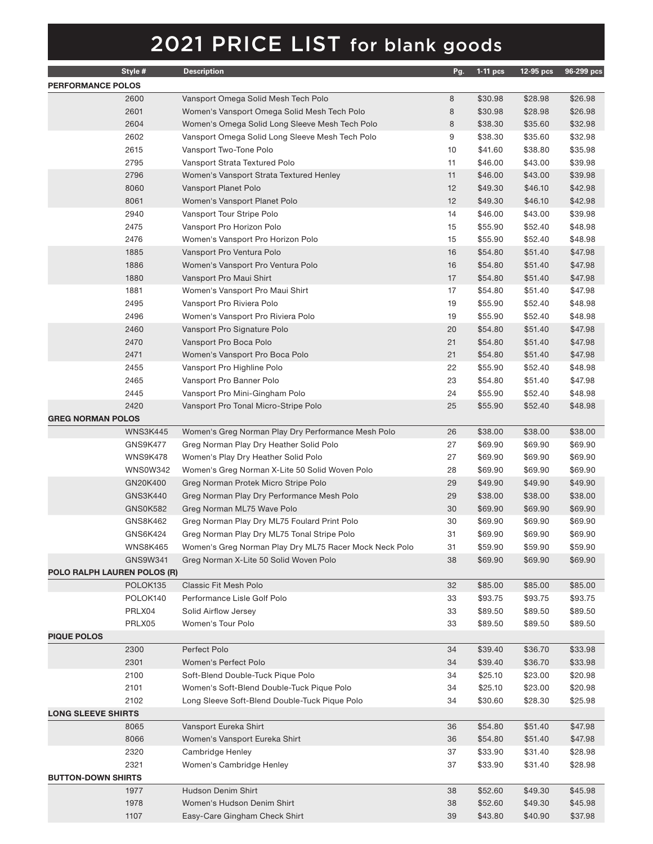|                             | Style #         | <b>Description</b>                                     | Pg. | $1-11$ pcs | 12-95 pcs | 96-299 pcs |
|-----------------------------|-----------------|--------------------------------------------------------|-----|------------|-----------|------------|
| <b>PERFORMANCE POLOS</b>    |                 |                                                        |     |            |           |            |
|                             | 2600            | Vansport Omega Solid Mesh Tech Polo                    | 8   | \$30.98    | \$28.98   | \$26.98    |
|                             | 2601            | Women's Vansport Omega Solid Mesh Tech Polo            | 8   | \$30.98    | \$28.98   | \$26.98    |
|                             | 2604            | Women's Omega Solid Long Sleeve Mesh Tech Polo         | 8   | \$38.30    | \$35.60   | \$32.98    |
|                             | 2602            | Vansport Omega Solid Long Sleeve Mesh Tech Polo        | 9   | \$38.30    | \$35.60   | \$32.98    |
|                             | 2615            | Vansport Two-Tone Polo                                 | 10  | \$41.60    | \$38.80   | \$35.98    |
|                             | 2795            | Vansport Strata Textured Polo                          | 11  | \$46.00    | \$43.00   | \$39.98    |
|                             | 2796            | Women's Vansport Strata Textured Henley                | 11  | \$46.00    | \$43.00   | \$39.98    |
|                             | 8060            | Vansport Planet Polo                                   | 12  | \$49.30    | \$46.10   | \$42.98    |
|                             | 8061            | Women's Vansport Planet Polo                           | 12  | \$49.30    | \$46.10   | \$42.98    |
|                             | 2940            | Vansport Tour Stripe Polo                              | 14  | \$46.00    | \$43.00   | \$39.98    |
|                             | 2475            | Vansport Pro Horizon Polo                              | 15  | \$55.90    | \$52.40   | \$48.98    |
|                             | 2476            | Women's Vansport Pro Horizon Polo                      | 15  | \$55.90    | \$52.40   | \$48.98    |
|                             | 1885            | Vansport Pro Ventura Polo                              | 16  | \$54.80    | \$51.40   | \$47.98    |
|                             | 1886            | Women's Vansport Pro Ventura Polo                      | 16  | \$54.80    | \$51.40   | \$47.98    |
|                             | 1880            | Vansport Pro Maui Shirt                                | 17  | \$54.80    | \$51.40   | \$47.98    |
|                             | 1881            | Women's Vansport Pro Maui Shirt                        | 17  | \$54.80    | \$51.40   | \$47.98    |
|                             | 2495            | Vansport Pro Riviera Polo                              | 19  | \$55.90    | \$52.40   | \$48.98    |
|                             | 2496            | Women's Vansport Pro Riviera Polo                      | 19  | \$55.90    | \$52.40   | \$48.98    |
|                             | 2460            | Vansport Pro Signature Polo                            | 20  | \$54.80    | \$51.40   | \$47.98    |
|                             | 2470            | Vansport Pro Boca Polo                                 | 21  | \$54.80    | \$51.40   | \$47.98    |
|                             | 2471            | Women's Vansport Pro Boca Polo                         | 21  | \$54.80    | \$51.40   | \$47.98    |
|                             | 2455            | Vansport Pro Highline Polo                             | 22  | \$55.90    | \$52.40   | \$48.98    |
|                             | 2465            | Vansport Pro Banner Polo                               | 23  | \$54.80    | \$51.40   | \$47.98    |
|                             | 2445            | Vansport Pro Mini-Gingham Polo                         | 24  | \$55.90    | \$52.40   | \$48.98    |
|                             | 2420            | Vansport Pro Tonal Micro-Stripe Polo                   | 25  | \$55.90    | \$52.40   | \$48.98    |
| <b>GREG NORMAN POLOS</b>    |                 |                                                        |     |            |           |            |
|                             | <b>WNS3K445</b> | Women's Greg Norman Play Dry Performance Mesh Polo     | 26  | \$38.00    | \$38.00   | \$38.00    |
|                             | GNS9K477        | Greg Norman Play Dry Heather Solid Polo                | 27  | \$69.90    | \$69.90   | \$69.90    |
|                             | WNS9K478        | Women's Play Dry Heather Solid Polo                    | 27  | \$69.90    | \$69.90   | \$69.90    |
|                             | <b>WNS0W342</b> | Women's Greg Norman X-Lite 50 Solid Woven Polo         | 28  | \$69.90    | \$69.90   | \$69.90    |
|                             | GN20K400        | Greg Norman Protek Micro Stripe Polo                   | 29  | \$49.90    | \$49.90   | \$49.90    |
|                             | GNS3K440        | Greg Norman Play Dry Performance Mesh Polo             | 29  | \$38.00    | \$38.00   | \$38.00    |
|                             | <b>GNS0K582</b> | Greg Norman ML75 Wave Polo                             | 30  | \$69.90    | \$69.90   | \$69.90    |
|                             | GNS8K462        | Greg Norman Play Dry ML75 Foulard Print Polo           | 30  | \$69.90    | \$69.90   | \$69.90    |
|                             | <b>GNS6K424</b> | Greg Norman Play Dry ML75 Tonal Stripe Polo            | 31  | \$69.90    | \$69.90   | \$69.90    |
|                             | <b>WNS8K465</b> | Women's Greg Norman Play Dry ML75 Racer Mock Neck Polo | 31  | \$59.90    | \$59.90   | \$59.90    |
|                             | GNS9W341        | Greg Norman X-Lite 50 Solid Woven Polo                 | 38  | \$69.90    | \$69.90   | \$69.90    |
| POLO RALPH LAUREN POLOS (R) |                 |                                                        |     |            |           |            |
|                             | POLOK135        | Classic Fit Mesh Polo                                  | 32  | \$85.00    | \$85.00   | \$85.00    |
|                             | POLOK140        | Performance Lisle Golf Polo                            | 33  | \$93.75    | \$93.75   | \$93.75    |
|                             | PRLX04          | Solid Airflow Jersey                                   | 33  | \$89.50    | \$89.50   | \$89.50    |
|                             | PRLX05          | Women's Tour Polo                                      | 33  | \$89.50    | \$89.50   | \$89.50    |
| <b>PIQUE POLOS</b>          |                 |                                                        |     |            |           |            |
|                             | 2300            | Perfect Polo                                           | 34  | \$39.40    | \$36.70   | \$33.98    |
|                             | 2301            | Women's Perfect Polo                                   | 34  | \$39.40    | \$36.70   | \$33.98    |
|                             | 2100            | Soft-Blend Double-Tuck Pique Polo                      | 34  | \$25.10    | \$23.00   | \$20.98    |
|                             | 2101            | Women's Soft-Blend Double-Tuck Pique Polo              | 34  | \$25.10    | \$23.00   | \$20.98    |
|                             | 2102            | Long Sleeve Soft-Blend Double-Tuck Pique Polo          | 34  | \$30.60    | \$28.30   | \$25.98    |
| <b>LONG SLEEVE SHIRTS</b>   |                 |                                                        |     |            |           |            |
|                             | 8065            | Vansport Eureka Shirt                                  | 36  | \$54.80    | \$51.40   | \$47.98    |
|                             | 8066            | Women's Vansport Eureka Shirt                          | 36  | \$54.80    | \$51.40   | \$47.98    |
|                             | 2320            | Cambridge Henley                                       | 37  | \$33.90    | \$31.40   | \$28.98    |
|                             | 2321            | Women's Cambridge Henley                               | 37  | \$33.90    | \$31.40   | \$28.98    |
| <b>BUTTON-DOWN SHIRTS</b>   |                 |                                                        |     |            |           |            |
|                             | 1977            | Hudson Denim Shirt                                     | 38  | \$52.60    | \$49.30   | \$45.98    |
|                             | 1978            | Women's Hudson Denim Shirt                             | 38  | \$52.60    | \$49.30   | \$45.98    |
|                             | 1107            | Easy-Care Gingham Check Shirt                          | 39  | \$43.80    | \$40.90   | \$37.98    |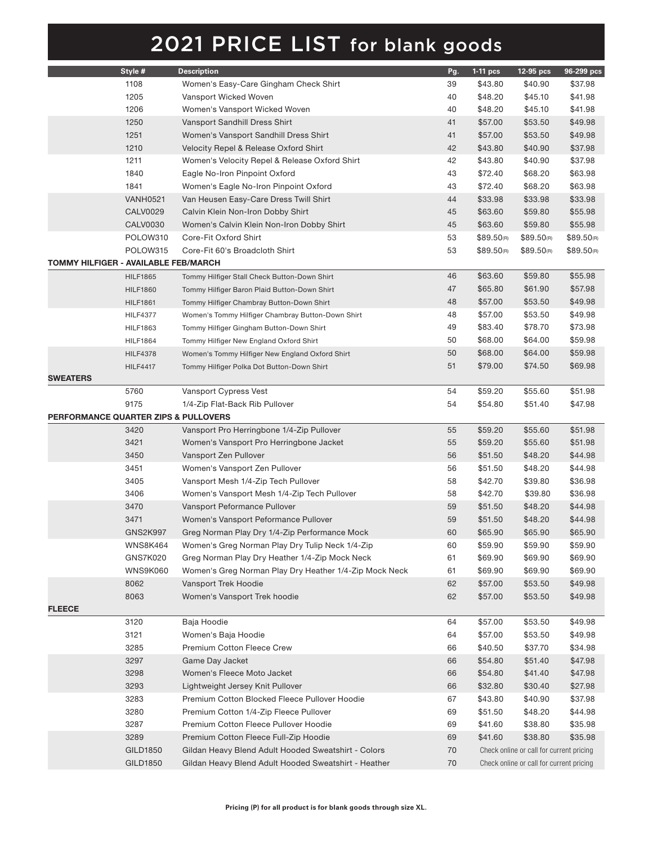|                                                 | Style #         | <b>Description</b>                                     | Pg. | $1-11$ pcs             | 12-95 pcs                                | 96-299 pcs             |
|-------------------------------------------------|-----------------|--------------------------------------------------------|-----|------------------------|------------------------------------------|------------------------|
|                                                 | 1108            | Women's Easy-Care Gingham Check Shirt                  | 39  | \$43.80                | \$40.90                                  | \$37.98                |
|                                                 | 1205            | Vansport Wicked Woven                                  | 40  | \$48.20                | \$45.10                                  | \$41.98                |
|                                                 | 1206            | Women's Vansport Wicked Woven                          | 40  | \$48.20                | \$45.10                                  | \$41.98                |
|                                                 | 1250            | Vansport Sandhill Dress Shirt                          | 41  | \$57.00                | \$53.50                                  | \$49.98                |
|                                                 | 1251            | Women's Vansport Sandhill Dress Shirt                  | 41  | \$57.00                | \$53.50                                  | \$49.98                |
|                                                 | 1210            | Velocity Repel & Release Oxford Shirt                  | 42  | \$43.80                | \$40.90                                  | \$37.98                |
|                                                 | 1211            | Women's Velocity Repel & Release Oxford Shirt          | 42  | \$43.80                | \$40.90                                  | \$37.98                |
|                                                 | 1840            | Eagle No-Iron Pinpoint Oxford                          | 43  | \$72.40                | \$68.20                                  | \$63.98                |
|                                                 | 1841            | Women's Eagle No-Iron Pinpoint Oxford                  | 43  | \$72.40                | \$68.20                                  | \$63.98                |
|                                                 | <b>VANH0521</b> | Van Heusen Easy-Care Dress Twill Shirt                 | 44  | \$33.98                | \$33.98                                  | \$33.98                |
|                                                 | <b>CALV0029</b> | Calvin Klein Non-Iron Dobby Shirt                      | 45  | \$63.60                | \$59.80                                  | \$55.98                |
|                                                 | <b>CALV0030</b> | Women's Calvin Klein Non-Iron Dobby Shirt              | 45  | \$63.60                | \$59.80                                  | \$55.98                |
|                                                 | POLOW310        | Core-Fit Oxford Shirt                                  | 53  | \$89.50 <sub>(R)</sub> | \$89.50(n)                               | \$89.50 <sub>(R)</sub> |
|                                                 | POLOW315        | Core-Fit 60's Broadcloth Shirt                         | 53  | \$89.50 <sub>(R)</sub> | \$89.50(n)                               | \$89.50 <sub>(R)</sub> |
| TOMMY HILFIGER - AVAILABLE FEB/MARCH            |                 |                                                        |     |                        |                                          |                        |
|                                                 |                 |                                                        |     | \$63.60                |                                          | \$55.98                |
|                                                 | <b>HILF1865</b> | Tommy Hilfiger Stall Check Button-Down Shirt           | 46  |                        | \$59.80                                  |                        |
|                                                 | <b>HILF1860</b> | Tommy Hilfiger Baron Plaid Button-Down Shirt           | 47  | \$65.80                | \$61.90                                  | \$57.98                |
|                                                 | <b>HILF1861</b> | Tommy Hilfiger Chambray Button-Down Shirt              | 48  | \$57.00                | \$53.50                                  | \$49.98                |
|                                                 | <b>HILF4377</b> | Women's Tommy Hilfiger Chambray Button-Down Shirt      | 48  | \$57.00                | \$53.50                                  | \$49.98                |
|                                                 | <b>HILF1863</b> | Tommy Hilfiger Gingham Button-Down Shirt               | 49  | \$83.40                | \$78.70                                  | \$73.98                |
|                                                 | <b>HILF1864</b> | Tommy Hilfiger New England Oxford Shirt                | 50  | \$68.00                | \$64.00                                  | \$59.98                |
|                                                 | <b>HILF4378</b> | Women's Tommy Hilfiger New England Oxford Shirt        | 50  | \$68.00                | \$64.00                                  | \$59.98                |
|                                                 | <b>HILF4417</b> | Tommy Hilfiger Polka Dot Button-Down Shirt             | 51  | \$79.00                | \$74.50                                  | \$69.98                |
| <b>SWEATERS</b>                                 |                 |                                                        |     |                        |                                          |                        |
|                                                 | 5760            | Vansport Cypress Vest                                  | 54  | \$59.20                | \$55.60                                  | \$51.98                |
|                                                 | 9175            | 1/4-Zip Flat-Back Rib Pullover                         | 54  | \$54.80                | \$51.40                                  | \$47.98                |
| <b>PERFORMANCE QUARTER ZIPS &amp; PULLOVERS</b> |                 |                                                        |     |                        |                                          |                        |
|                                                 | 3420            | Vansport Pro Herringbone 1/4-Zip Pullover              | 55  | \$59.20                | \$55.60                                  | \$51.98                |
|                                                 | 3421            | Women's Vansport Pro Herringbone Jacket                | 55  | \$59.20                | \$55.60                                  | \$51.98                |
|                                                 | 3450            | Vansport Zen Pullover                                  | 56  | \$51.50                | \$48.20                                  | \$44.98                |
|                                                 | 3451            | Women's Vansport Zen Pullover                          | 56  | \$51.50                | \$48.20                                  | \$44.98                |
|                                                 | 3405            | Vansport Mesh 1/4-Zip Tech Pullover                    | 58  | \$42.70                | \$39.80                                  | \$36.98                |
|                                                 | 3406            | Women's Vansport Mesh 1/4-Zip Tech Pullover            | 58  | \$42.70                | \$39.80                                  | \$36.98                |
|                                                 | 3470            | Vansport Peformance Pullover                           | 59  | \$51.50                | \$48.20                                  | \$44.98                |
|                                                 | 3471            | Women's Vansport Peformance Pullover                   | 59  | \$51.50                | \$48.20                                  | \$44.98                |
|                                                 | <b>GNS2K997</b> | Greg Norman Play Dry 1/4-Zip Performance Mock          | 60  | \$65.90                | \$65.90                                  | \$65.90                |
|                                                 | <b>WNS8K464</b> | Women's Greg Norman Play Dry Tulip Neck 1/4-Zip        | 60  | \$59.90                | \$59.90                                  | \$59.90                |
|                                                 | GNS7K020        | Greg Norman Play Dry Heather 1/4-Zip Mock Neck         | 61  | \$69.90                | \$69.90                                  | \$69.90                |
|                                                 | <b>WNS9K060</b> | Women's Greg Norman Play Dry Heather 1/4-Zip Mock Neck | 61  | \$69.90                | \$69.90                                  | \$69.90                |
|                                                 | 8062            | Vansport Trek Hoodie                                   | 62  | \$57.00                | \$53.50                                  | \$49.98                |
|                                                 | 8063            | Women's Vansport Trek hoodie                           | 62  | \$57.00                | \$53.50                                  | \$49.98                |
| <b>FLEECE</b>                                   |                 |                                                        |     |                        |                                          |                        |
|                                                 | 3120            | Baja Hoodie                                            | 64  | \$57.00                | \$53.50                                  | \$49.98                |
|                                                 | 3121            | Women's Baja Hoodie                                    | 64  | \$57.00                | \$53.50                                  | \$49.98                |
|                                                 | 3285            | Premium Cotton Fleece Crew                             | 66  | \$40.50                | \$37.70                                  | \$34.98                |
|                                                 | 3297            | Game Day Jacket                                        | 66  | \$54.80                | \$51.40                                  | \$47.98                |
|                                                 | 3298            | Women's Fleece Moto Jacket                             | 66  | \$54.80                | \$41.40                                  | \$47.98                |
|                                                 | 3293            | Lightweight Jersey Knit Pullover                       | 66  | \$32.80                | \$30.40                                  | \$27.98                |
|                                                 | 3283            | Premium Cotton Blocked Fleece Pullover Hoodie          | 67  | \$43.80                | \$40.90                                  | \$37.98                |
|                                                 | 3280            | Premium Cotton 1/4-Zip Fleece Pullover                 | 69  | \$51.50                | \$48.20                                  | \$44.98                |
|                                                 | 3287            | Premium Cotton Fleece Pullover Hoodie                  | 69  | \$41.60                | \$38.80                                  | \$35.98                |
|                                                 | 3289            | Premium Cotton Fleece Full-Zip Hoodie                  | 69  | \$41.60                | \$38.80                                  | \$35.98                |
|                                                 | GILD1850        | Gildan Heavy Blend Adult Hooded Sweatshirt - Colors    | 70  |                        | Check online or call for current pricing |                        |
|                                                 | GILD1850        | Gildan Heavy Blend Adult Hooded Sweatshirt - Heather   | 70  |                        | Check online or call for current pricing |                        |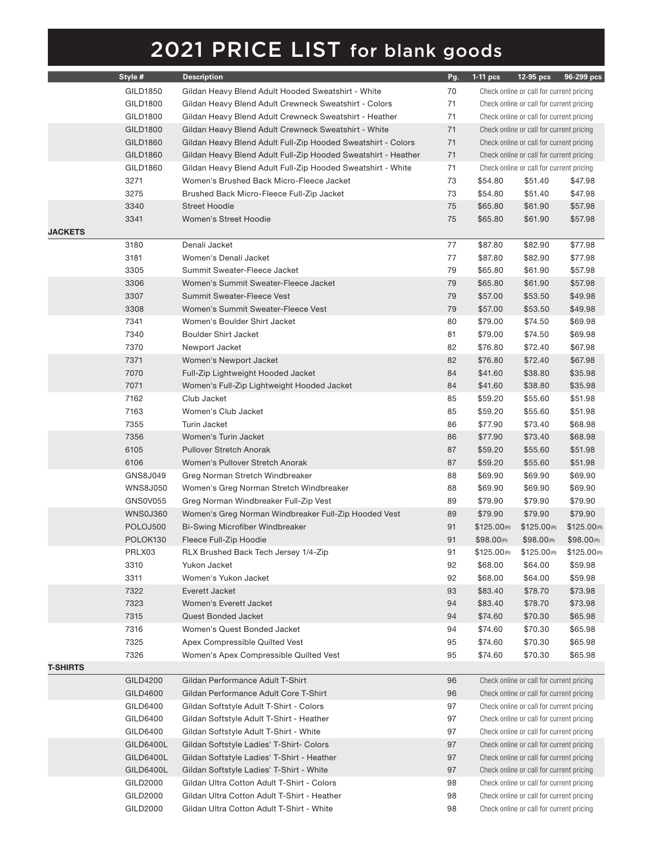|                 | Style #         | <b>Description</b>                                            | Pg. | $1-11$ pcs              | 12-95 pcs                                | 96-299 pcs              |
|-----------------|-----------------|---------------------------------------------------------------|-----|-------------------------|------------------------------------------|-------------------------|
|                 | GILD1850        | Gildan Heavy Blend Adult Hooded Sweatshirt - White            | 70  |                         | Check online or call for current pricing |                         |
|                 | GILD1800        | Gildan Heavy Blend Adult Crewneck Sweatshirt - Colors         | 71  |                         | Check online or call for current pricing |                         |
|                 | GILD1800        | Gildan Heavy Blend Adult Crewneck Sweatshirt - Heather        | 71  |                         | Check online or call for current pricing |                         |
|                 | GILD1800        | Gildan Heavy Blend Adult Crewneck Sweatshirt - White          | 71  |                         | Check online or call for current pricing |                         |
|                 | GILD1860        | Gildan Heavy Blend Adult Full-Zip Hooded Sweatshirt - Colors  | 71  |                         | Check online or call for current pricing |                         |
|                 | GILD1860        | Gildan Heavy Blend Adult Full-Zip Hooded Sweatshirt - Heather | 71  |                         | Check online or call for current pricing |                         |
|                 | GILD1860        | Gildan Heavy Blend Adult Full-Zip Hooded Sweatshirt - White   | 71  |                         | Check online or call for current pricing |                         |
|                 | 3271            | Women's Brushed Back Micro-Fleece Jacket                      | 73  | \$54.80                 | \$51.40                                  | \$47.98                 |
|                 | 3275            | Brushed Back Micro-Fleece Full-Zip Jacket                     | 73  | \$54.80                 | \$51.40                                  | \$47.98                 |
|                 | 3340            | <b>Street Hoodie</b>                                          | 75  | \$65.80                 | \$61.90                                  | \$57.98                 |
|                 | 3341            | <b>Women's Street Hoodie</b>                                  | 75  | \$65.80                 | \$61.90                                  | \$57.98                 |
| <b>JACKETS</b>  |                 |                                                               |     |                         |                                          |                         |
|                 | 3180            | Denali Jacket                                                 | 77  | \$87.80                 | \$82.90                                  | \$77.98                 |
|                 | 3181            | Women's Denali Jacket                                         | 77  | \$87.80                 | \$82.90                                  | \$77.98                 |
|                 | 3305            | Summit Sweater-Fleece Jacket                                  | 79  | \$65.80                 | \$61.90                                  | \$57.98                 |
|                 | 3306            | Women's Summit Sweater-Fleece Jacket                          | 79  | \$65.80                 | \$61.90                                  | \$57.98                 |
|                 | 3307            | Summit Sweater-Fleece Vest                                    | 79  | \$57.00                 | \$53.50                                  | \$49.98                 |
|                 | 3308            | Women's Summit Sweater-Fleece Vest                            | 79  | \$57.00                 | \$53.50                                  | \$49.98                 |
|                 | 7341            | Women's Boulder Shirt Jacket                                  | 80  | \$79.00                 | \$74.50                                  | \$69.98                 |
|                 | 7340            | <b>Boulder Shirt Jacket</b>                                   | 81  | \$79.00                 | \$74.50                                  | \$69.98                 |
|                 | 7370            | Newport Jacket                                                | 82  | \$76.80                 | \$72.40                                  | \$67.98                 |
|                 | 7371            | Women's Newport Jacket                                        | 82  | \$76.80                 | \$72.40                                  | \$67.98                 |
|                 | 7070            | Full-Zip Lightweight Hooded Jacket                            | 84  | \$41.60                 | \$38.80                                  | \$35.98                 |
|                 | 7071            | Women's Full-Zip Lightweight Hooded Jacket                    | 84  | \$41.60                 | \$38.80                                  | \$35.98                 |
|                 | 7162            | Club Jacket                                                   | 85  | \$59.20                 | \$55.60                                  | \$51.98                 |
|                 | 7163            | Women's Club Jacket                                           | 85  | \$59.20                 | \$55.60                                  | \$51.98                 |
|                 | 7355            | Turin Jacket                                                  | 86  | \$77.90                 | \$73.40                                  | \$68.98                 |
|                 | 7356            | Women's Turin Jacket                                          | 86  | \$77.90                 | \$73.40                                  | \$68.98                 |
|                 | 6105            | <b>Pullover Stretch Anorak</b>                                | 87  | \$59.20                 | \$55.60                                  | \$51.98                 |
|                 | 6106            | Women's Pullover Stretch Anorak                               | 87  | \$59.20                 | \$55.60                                  | \$51.98                 |
|                 | GNS8J049        | Greg Norman Stretch Windbreaker                               | 88  | \$69.90                 | \$69.90                                  | \$69.90                 |
|                 | <b>WNS8J050</b> | Women's Greg Norman Stretch Windbreaker                       | 88  | \$69.90                 | \$69.90                                  | \$69.90                 |
|                 | GNS0V055        | Greg Norman Windbreaker Full-Zip Vest                         | 89  | \$79.90                 | \$79.90                                  | \$79.90                 |
|                 | WNS0J360        | Women's Greg Norman Windbreaker Full-Zip Hooded Vest          | 89  | \$79.90                 | \$79.90                                  | \$79.90                 |
|                 | POLOJ500        | Bi-Swing Microfiber Windbreaker                               | 91  | \$125.00(8)             | \$125.00 <sub>(R)</sub>                  | \$125.00 <sub>(R)</sub> |
|                 | POLOK130        | Fleece Full-Zip Hoodie                                        | 91  | \$98.00 <sub>(R)</sub>  | \$98.00 <sub>(R)</sub>                   | \$98.00 <sub>(R)</sub>  |
|                 |                 |                                                               |     |                         |                                          | \$125.00(R)             |
|                 | PRLX03          | RLX Brushed Back Tech Jersey 1/4-Zip                          | 91  | \$125.00 <sub>(R)</sub> | \$125.00 <sub>(R)</sub>                  |                         |
|                 | 3310            | Yukon Jacket                                                  | 92  | \$68.00                 | \$64.00                                  | \$59.98                 |
|                 | 3311            | Women's Yukon Jacket                                          | 92  | \$68.00                 | \$64.00                                  | \$59.98                 |
|                 | 7322            | Everett Jacket                                                | 93  | \$83.40                 | \$78.70                                  | \$73.98                 |
|                 | 7323            | Women's Everett Jacket                                        | 94  | \$83.40                 | \$78.70                                  | \$73.98                 |
|                 | 7315            | <b>Quest Bonded Jacket</b>                                    | 94  | \$74.60                 | \$70.30                                  | \$65.98                 |
|                 | 7316            | Women's Quest Bonded Jacket                                   | 94  | \$74.60                 | \$70.30                                  | \$65.98                 |
|                 | 7325            | Apex Compressible Quilted Vest                                | 95  | \$74.60                 | \$70.30                                  | \$65.98                 |
|                 | 7326            | Women's Apex Compressible Quilted Vest                        | 95  | \$74.60                 | \$70.30                                  | \$65.98                 |
| <b>T-SHIRTS</b> |                 |                                                               |     |                         |                                          |                         |
|                 | GILD4200        | Gildan Performance Adult T-Shirt                              | 96  |                         | Check online or call for current pricing |                         |
|                 | GILD4600        | Gildan Performance Adult Core T-Shirt                         | 96  |                         | Check online or call for current pricing |                         |
|                 | GILD6400        | Gildan Softstyle Adult T-Shirt - Colors                       | 97  |                         | Check online or call for current pricing |                         |
|                 | GILD6400        | Gildan Softstyle Adult T-Shirt - Heather                      | 97  |                         | Check online or call for current pricing |                         |
|                 | GILD6400        | Gildan Softstyle Adult T-Shirt - White                        | 97  |                         | Check online or call for current pricing |                         |
|                 | GILD6400L       | Gildan Softstyle Ladies' T-Shirt- Colors                      | 97  |                         | Check online or call for current pricing |                         |
|                 | GILD6400L       | Gildan Softstyle Ladies' T-Shirt - Heather                    | 97  |                         | Check online or call for current pricing |                         |
|                 | GILD6400L       | Gildan Softstyle Ladies' T-Shirt - White                      | 97  |                         | Check online or call for current pricing |                         |
|                 | GILD2000        | Gildan Ultra Cotton Adult T-Shirt - Colors                    | 98  |                         | Check online or call for current pricing |                         |
|                 | GILD2000        | Gildan Ultra Cotton Adult T-Shirt - Heather                   | 98  |                         | Check online or call for current pricing |                         |
|                 | GILD2000        | Gildan Ultra Cotton Adult T-Shirt - White                     | 98  |                         | Check online or call for current pricing |                         |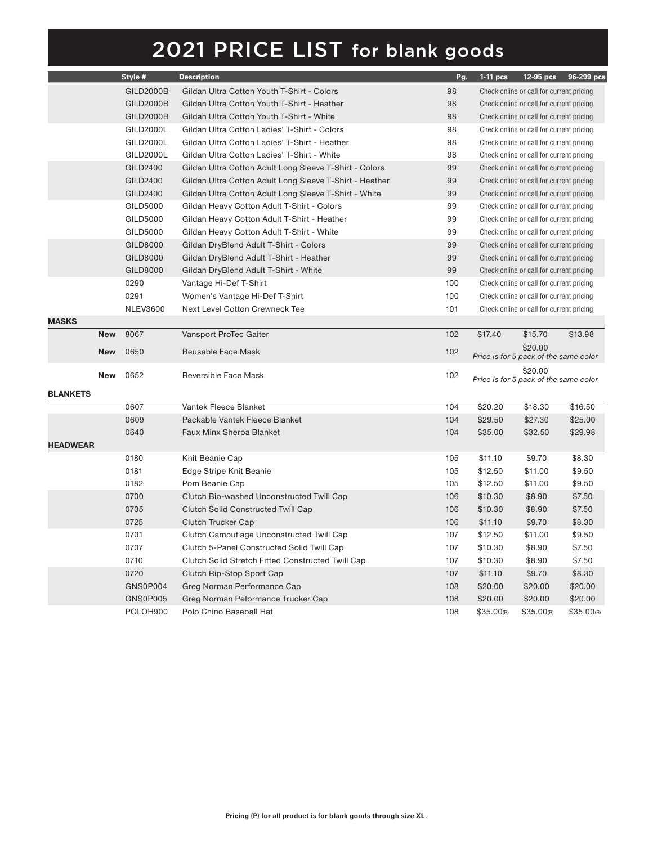|                 |            | Style #          | <b>Description</b>                                      | Pg. | $1-11$ pcs             |                                                  | 12-95 pcs 96-299 pcs |
|-----------------|------------|------------------|---------------------------------------------------------|-----|------------------------|--------------------------------------------------|----------------------|
|                 |            | <b>GILD2000B</b> | Gildan Ultra Cotton Youth T-Shirt - Colors              | 98  |                        | Check online or call for current pricing         |                      |
|                 |            | <b>GILD2000B</b> | Gildan Ultra Cotton Youth T-Shirt - Heather             | 98  |                        | Check online or call for current pricing         |                      |
|                 |            | <b>GILD2000B</b> | Gildan Ultra Cotton Youth T-Shirt - White               | 98  |                        | Check online or call for current pricing         |                      |
|                 |            | GILD2000L        | Gildan Ultra Cotton Ladies' T-Shirt - Colors            | 98  |                        | Check online or call for current pricing         |                      |
|                 |            | GILD2000L        | Gildan Ultra Cotton Ladies' T-Shirt - Heather           | 98  |                        | Check online or call for current pricing         |                      |
|                 |            | GILD2000L        | Gildan Ultra Cotton Ladies' T-Shirt - White             | 98  |                        | Check online or call for current pricing         |                      |
|                 |            | GILD2400         | Gildan Ultra Cotton Adult Long Sleeve T-Shirt - Colors  | 99  |                        | Check online or call for current pricing         |                      |
|                 |            | GILD2400         | Gildan Ultra Cotton Adult Long Sleeve T-Shirt - Heather | 99  |                        | Check online or call for current pricing         |                      |
|                 |            | GILD2400         | Gildan Ultra Cotton Adult Long Sleeve T-Shirt - White   | 99  |                        | Check online or call for current pricing         |                      |
|                 |            | GILD5000         | Gildan Heavy Cotton Adult T-Shirt - Colors              | 99  |                        | Check online or call for current pricing         |                      |
|                 |            | GILD5000         | Gildan Heavy Cotton Adult T-Shirt - Heather             | 99  |                        | Check online or call for current pricing         |                      |
|                 |            | GILD5000         | Gildan Heavy Cotton Adult T-Shirt - White               | 99  |                        | Check online or call for current pricing         |                      |
|                 |            | GILD8000         | Gildan DryBlend Adult T-Shirt - Colors                  | 99  |                        | Check online or call for current pricing         |                      |
|                 |            | GILD8000         | Gildan DryBlend Adult T-Shirt - Heather                 | 99  |                        | Check online or call for current pricing         |                      |
|                 |            | GILD8000         | Gildan DryBlend Adult T-Shirt - White                   | 99  |                        | Check online or call for current pricing         |                      |
|                 |            | 0290             | Vantage Hi-Def T-Shirt                                  | 100 |                        | Check online or call for current pricing         |                      |
|                 |            | 0291             | Women's Vantage Hi-Def T-Shirt                          | 100 |                        | Check online or call for current pricing         |                      |
|                 |            | <b>NLEV3600</b>  | Next Level Cotton Crewneck Tee                          | 101 |                        | Check online or call for current pricing         |                      |
| <b>MASKS</b>    |            |                  |                                                         |     |                        |                                                  |                      |
|                 | <b>New</b> | 8067             | Vansport ProTec Gaiter                                  | 102 | \$17.40                | \$15.70                                          | \$13.98              |
|                 | <b>New</b> | 0650             | Reusable Face Mask                                      | 102 |                        | \$20.00<br>Price is for 5 pack of the same color |                      |
|                 | <b>New</b> | 0652             | Reversible Face Mask                                    | 102 |                        | \$20.00<br>Price is for 5 pack of the same color |                      |
| <b>BLANKETS</b> |            |                  |                                                         |     |                        |                                                  |                      |
|                 |            | 0607             | Vantek Fleece Blanket                                   | 104 | \$20.20                | \$18.30                                          | \$16.50              |
|                 |            | 0609             | Packable Vantek Fleece Blanket                          | 104 | \$29.50                | \$27.30                                          | \$25.00              |
|                 |            | 0640             | Faux Minx Sherpa Blanket                                | 104 | \$35.00                | \$32.50                                          | \$29.98              |
| <b>HEADWEAR</b> |            |                  |                                                         |     |                        |                                                  |                      |
|                 |            | 0180             | Knit Beanie Cap                                         | 105 | \$11.10                | \$9.70                                           | \$8.30               |
|                 |            | 0181             | Edge Stripe Knit Beanie                                 | 105 | \$12.50                | \$11.00                                          | \$9.50               |
|                 |            | 0182             | Pom Beanie Cap                                          | 105 | \$12.50                | \$11.00                                          | \$9.50               |
|                 |            | 0700             | Clutch Bio-washed Unconstructed Twill Cap               | 106 | \$10.30                | \$8.90                                           | \$7.50               |
|                 |            | 0705             | Clutch Solid Constructed Twill Cap                      | 106 | \$10.30                | \$8.90                                           | \$7.50               |
|                 |            | 0725             | <b>Clutch Trucker Cap</b>                               | 106 | \$11.10                | \$9.70                                           | \$8.30               |
|                 |            | 0701             | Clutch Camouflage Unconstructed Twill Cap               | 107 | \$12.50                | \$11.00                                          | \$9.50               |
|                 |            | 0707             | Clutch 5-Panel Constructed Solid Twill Cap              | 107 | \$10.30                | \$8.90                                           | \$7.50               |
|                 |            | 0710             | Clutch Solid Stretch Fitted Constructed Twill Cap       | 107 | \$10.30                | \$8.90                                           | \$7.50               |
|                 |            | 0720             | Clutch Rip-Stop Sport Cap                               | 107 | \$11.10                | \$9.70                                           | \$8.30               |
|                 |            | GNS0P004         | Greg Norman Performance Cap                             | 108 | \$20.00                | \$20.00                                          | \$20.00              |
|                 |            | GNS0P005         | Greg Norman Peformance Trucker Cap                      | 108 | \$20.00                | \$20.00                                          | \$20.00              |
|                 |            | POLOH900         | Polo Chino Baseball Hat                                 | 108 | \$35.00 <sub>(R)</sub> | \$35.00 <sub>(R)</sub>                           | \$35.00(R)           |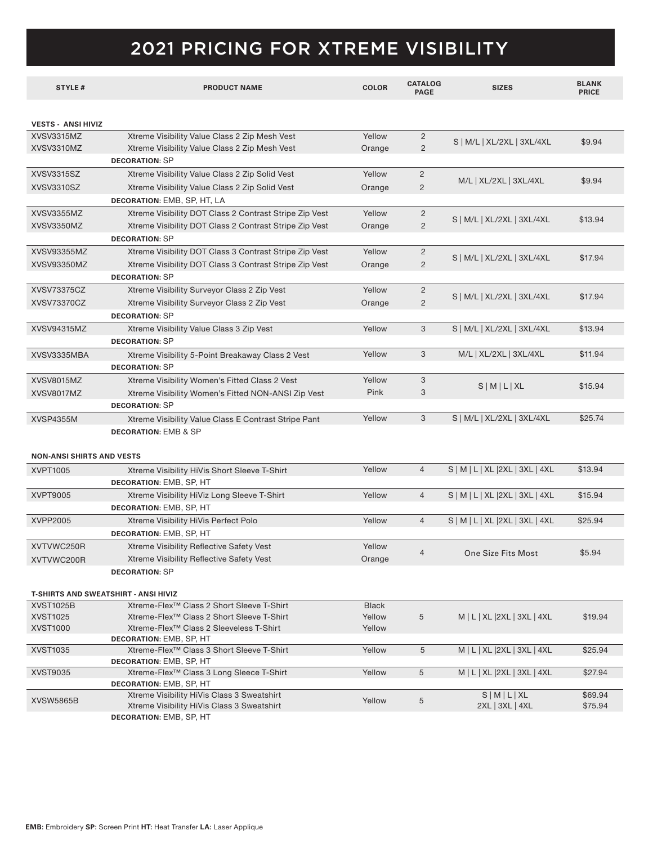### 2021 PRICING FOR XTREME VISIBILITY

| <b>STYLE#</b>                        | <b>PRODUCT NAME</b>                                                                                          | <b>COLOR</b>     | <b>CATALOG</b><br><b>PAGE</b> | <b>SIZES</b>                       | <b>BLANK</b><br><b>PRICE</b> |
|--------------------------------------|--------------------------------------------------------------------------------------------------------------|------------------|-------------------------------|------------------------------------|------------------------------|
|                                      |                                                                                                              |                  |                               |                                    |                              |
| <b>VESTS - ANSI HIVIZ</b>            |                                                                                                              |                  |                               |                                    |                              |
| XVSV3315MZ                           | Xtreme Visibility Value Class 2 Zip Mesh Vest                                                                | Yellow           | $\overline{2}$                | S   M/L   XL/2XL   3XL/4XL         | \$9.94                       |
| XVSV3310MZ                           | Xtreme Visibility Value Class 2 Zip Mesh Vest                                                                | Orange           | $\overline{2}$                |                                    |                              |
|                                      | <b>DECORATION: SP</b>                                                                                        |                  |                               |                                    |                              |
| XVSV3315SZ                           | Xtreme Visibility Value Class 2 Zip Solid Vest                                                               | Yellow           | $\overline{2}$                |                                    |                              |
| XVSV3310SZ                           | Xtreme Visibility Value Class 2 Zip Solid Vest                                                               | Orange           | $\overline{2}$                | M/L   XL/2XL   3XL/4XL             | \$9.94                       |
|                                      | DECORATION: EMB, SP, HT, LA                                                                                  |                  |                               |                                    |                              |
| XVSV3355MZ                           | Xtreme Visibility DOT Class 2 Contrast Stripe Zip Vest                                                       | Yellow           | $\overline{c}$                |                                    |                              |
| XVSV3350MZ                           | Xtreme Visibility DOT Class 2 Contrast Stripe Zip Vest                                                       | Orange           | 2                             | S   M/L   XL/2XL   3XL/4XL         | \$13.94                      |
|                                      | <b>DECORATION: SP</b>                                                                                        |                  |                               |                                    |                              |
| XVSV93355MZ                          | Xtreme Visibility DOT Class 3 Contrast Stripe Zip Vest                                                       | Yellow           | $\overline{2}$                |                                    |                              |
| XVSV93350MZ                          | Xtreme Visibility DOT Class 3 Contrast Stripe Zip Vest                                                       | Orange           | 2                             | S   M/L   XL/2XL   3XL/4XL         | \$17.94                      |
|                                      | <b>DECORATION: SP</b>                                                                                        |                  |                               |                                    |                              |
| XVSV73375CZ                          | Xtreme Visibility Surveyor Class 2 Zip Vest                                                                  | Yellow           | $\overline{2}$                |                                    |                              |
| XVSV73370CZ                          | Xtreme Visibility Surveyor Class 2 Zip Vest                                                                  | Orange           | 2                             | S   M/L   XL/2XL   3XL/4XL         | \$17.94                      |
|                                      | <b>DECORATION: SP</b>                                                                                        |                  |                               |                                    |                              |
| XVSV94315MZ                          | Xtreme Visibility Value Class 3 Zip Vest                                                                     | Yellow           | 3                             | S   M/L   XL/2XL   3XL/4XL         | \$13.94                      |
|                                      | <b>DECORATION: SP</b>                                                                                        |                  |                               |                                    |                              |
| XVSV3335MBA                          | Xtreme Visibility 5-Point Breakaway Class 2 Vest                                                             | Yellow           | 3                             | M/L   XL/2XL   3XL/4XL             | \$11.94                      |
|                                      | <b>DECORATION: SP</b>                                                                                        |                  |                               |                                    |                              |
| XVSV8015MZ                           | Xtreme Visibility Women's Fitted Class 2 Vest                                                                | Yellow           | 3                             |                                    |                              |
| XVSV8017MZ                           | Xtreme Visibility Women's Fitted NON-ANSI Zip Vest                                                           | Pink             | 3                             | $S$   M   L   XL                   | \$15.94                      |
|                                      | <b>DECORATION: SP</b>                                                                                        |                  |                               |                                    |                              |
| <b>XVSP4355M</b>                     | Xtreme Visibility Value Class E Contrast Stripe Pant                                                         | Yellow           | 3                             | S   M/L   XL/2XL   3XL/4XL         | \$25.74                      |
|                                      | <b>DECORATION: EMB &amp; SP</b>                                                                              |                  |                               |                                    |                              |
|                                      |                                                                                                              |                  |                               |                                    |                              |
| <b>NON-ANSI SHIRTS AND VESTS</b>     |                                                                                                              |                  |                               |                                    |                              |
| XVPT1005                             | Xtreme Visibility HiVis Short Sleeve T-Shirt                                                                 | Yellow           | $\overline{4}$                | $S$   M   L   XL   2XL   3XL   4XL | \$13.94                      |
|                                      | <b>DECORATION: EMB, SP, HT</b>                                                                               |                  |                               |                                    |                              |
| XVPT9005                             | Xtreme Visibility HiViz Long Sleeve T-Shirt                                                                  | Yellow           | $\overline{4}$                | S   M   L   XL   2XL   3XL   4XL   | \$15.94                      |
|                                      | <b>DECORATION: EMB, SP, HT</b>                                                                               |                  |                               |                                    |                              |
| XVPP2005                             | Xtreme Visibility HiVis Perfect Polo                                                                         | Yellow           | $\overline{4}$                | S   M   L   XL   2XL   3XL   4XL   | \$25.94                      |
|                                      | <b>DECORATION: EMB, SP, HT</b>                                                                               |                  |                               |                                    |                              |
| XVTVWC250R                           | Xtreme Visibility Reflective Safety Vest                                                                     | Yellow           |                               |                                    |                              |
| XVTVWC200R                           | Xtreme Visibility Reflective Safety Vest                                                                     | Orange           | 4                             | One Size Fits Most                 | \$5.94                       |
|                                      | <b>DECORATION: SP</b>                                                                                        |                  |                               |                                    |                              |
|                                      |                                                                                                              |                  |                               |                                    |                              |
| T-SHIRTS AND SWEATSHIRT - ANSI HIVIZ |                                                                                                              |                  |                               |                                    |                              |
| <b>XVST1025B</b>                     | Xtreme-Flex <sup>™</sup> Class 2 Short Sleeve T-Shirt                                                        | <b>Black</b>     |                               |                                    |                              |
| <b>XVST1025</b><br><b>XVST1000</b>   | Xtreme-Flex <sup>™</sup> Class 2 Short Sleeve T-Shirt<br>Xtreme-Flex <sup>™</sup> Class 2 Sleeveless T-Shirt | Yellow<br>Yellow | 5                             | M   L   XL   2XL   3XL   4XL       | \$19.94                      |
|                                      | <b>DECORATION: EMB, SP, HT</b>                                                                               |                  |                               |                                    |                              |
| XVST1035                             | Xtreme-Flex™ Class 3 Short Sleeve T-Shirt                                                                    | Yellow           | 5                             | M   L   XL   2XL   3XL   4XL       | \$25.94                      |
|                                      | <b>DECORATION: EMB, SP, HT</b>                                                                               |                  |                               |                                    |                              |
| XVST9035                             | Xtreme-Flex <sup>™</sup> Class 3 Long Sleece T-Shirt                                                         | Yellow           | 5                             | M   L   XL   2XL   3XL   4XL       | \$27.94                      |
|                                      | <b>DECORATION: EMB, SP, HT</b>                                                                               |                  |                               |                                    |                              |
| <b>XVSW5865B</b>                     | Xtreme Visibility HiVis Class 3 Sweatshirt                                                                   | Yellow           | 5                             | $S$   M   L   XL                   | \$69.94                      |
|                                      | Xtreme Visibility HiVis Class 3 Sweatshirt                                                                   |                  |                               | 2XL   3XL   4XL                    | \$75.94                      |
|                                      | <b>DECORATION: EMB, SP, HT</b>                                                                               |                  |                               |                                    |                              |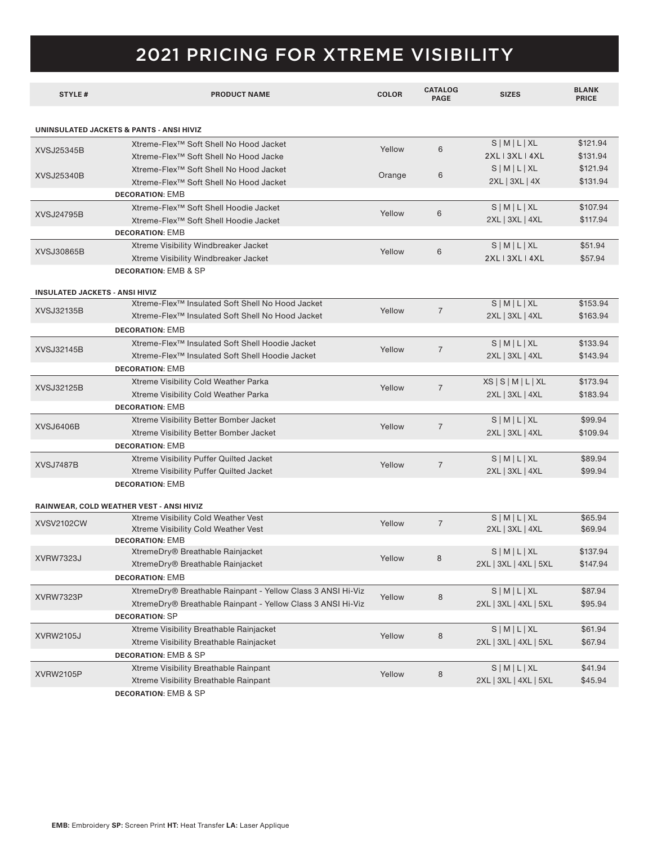### 2021 PRICING FOR XTREME VISIBILITY

| <b>STYLE#</b>                            | <b>PRODUCT NAME</b>                                          | <b>COLOR</b> | <b>CATALOG</b><br><b>PAGE</b> | <b>SIZES</b>          | <b>BLANK</b><br><b>PRICE</b> |
|------------------------------------------|--------------------------------------------------------------|--------------|-------------------------------|-----------------------|------------------------------|
|                                          |                                                              |              |                               |                       |                              |
| UNINSULATED JACKETS & PANTS - ANSI HIVIZ |                                                              |              |                               |                       |                              |
| XVSJ25345B                               | Xtreme-Flex <sup>™</sup> Soft Shell No Hood Jacket           | Yellow       | 6                             | $S$   M   L   XL      | \$121.94                     |
|                                          | Xtreme-Flex <sup>™</sup> Soft Shell No Hood Jacke            |              |                               | 2XL   3XL   4XL       | \$131.94                     |
| XVSJ25340B                               | Xtreme-Flex <sup>™</sup> Soft Shell No Hood Jacket           | Orange       | 6                             | $S$   M   L   XL      | \$121.94                     |
|                                          | Xtreme-Flex <sup>™</sup> Soft Shell No Hood Jacket           |              |                               | 2XL   3XL   4X        | \$131.94                     |
|                                          | <b>DECORATION: EMB</b>                                       |              |                               |                       |                              |
| <b>XVSJ24795B</b>                        | Xtreme-Flex <sup>™</sup> Soft Shell Hoodie Jacket            | Yellow       | 6                             | $S$   M   L   XL      | \$107.94                     |
|                                          | Xtreme-Flex <sup>™</sup> Soft Shell Hoodie Jacket            |              |                               | 2XL   3XL   4XL       | \$117.94                     |
|                                          | <b>DECORATION: EMB</b>                                       |              |                               |                       |                              |
| XVSJ30865B                               | Xtreme Visibility Windbreaker Jacket                         | Yellow       | 6                             | $S$   M   L   XL      | \$51.94                      |
|                                          | Xtreme Visibility Windbreaker Jacket                         |              |                               | 2XL   3XL   4XL       | \$57.94                      |
|                                          | <b>DECORATION: EMB &amp; SP</b>                              |              |                               |                       |                              |
| <b>INSULATED JACKETS - ANSI HIVIZ</b>    |                                                              |              |                               |                       |                              |
| XVSJ32135B                               | Xtreme-Flex <sup>™</sup> Insulated Soft Shell No Hood Jacket | Yellow       | $\overline{7}$                | $S$   M   L   XL      | \$153.94                     |
|                                          | Xtreme-Flex <sup>™</sup> Insulated Soft Shell No Hood Jacket |              |                               | 2XL   3XL   4XL       | \$163.94                     |
|                                          | <b>DECORATION: EMB</b>                                       |              |                               |                       |                              |
| XVSJ32145B                               | Xtreme-Flex <sup>™</sup> Insulated Soft Shell Hoodie Jacket  |              | $\overline{7}$                | $S$   M   L   XL      | \$133.94                     |
|                                          | Xtreme-Flex <sup>™</sup> Insulated Soft Shell Hoodie Jacket  | Yellow       |                               | 2XL   3XL   4XL       | \$143.94                     |
|                                          | <b>DECORATION: EMB</b>                                       |              |                               |                       |                              |
| XVSJ32125B                               | Xtreme Visibility Cold Weather Parka                         | Yellow       | $\overline{7}$                | XS S M L XL           | \$173.94                     |
|                                          | Xtreme Visibility Cold Weather Parka                         |              |                               | 2XL   3XL   4XL       | \$183.94                     |
|                                          | <b>DECORATION: EMB</b>                                       |              |                               |                       |                              |
| XVSJ6406B                                | Xtreme Visibility Better Bomber Jacket                       | Yellow       | $\overline{7}$                | $S$   M   L   XL      | \$99.94                      |
|                                          | Xtreme Visibility Better Bomber Jacket                       |              |                               | 2XL   3XL   4XL       | \$109.94                     |
|                                          | <b>DECORATION: EMB</b>                                       |              |                               |                       |                              |
| XVSJ7487B                                | Xtreme Visibility Puffer Quilted Jacket                      | Yellow       | $\overline{7}$                | $S$   M   L   XL      | \$89.94                      |
|                                          | Xtreme Visibility Puffer Quilted Jacket                      |              |                               | 2XL   3XL   4XL       | \$99.94                      |
|                                          | <b>DECORATION: EMB</b>                                       |              |                               |                       |                              |
|                                          |                                                              |              |                               |                       |                              |
|                                          | RAINWEAR, COLD WEATHER VEST - ANSI HIVIZ                     |              |                               |                       |                              |
| XVSV2102CW                               | Xtreme Visibility Cold Weather Vest                          | Yellow       | $\overline{7}$                | $S$   M   L   XL      | \$65.94                      |
|                                          | Xtreme Visibility Cold Weather Vest                          |              |                               | 2XL   3XL   4XL       | \$69.94                      |
| <b>XVRW7323J</b>                         | <b>DECORATION: EMB</b><br>XtremeDry® Breathable Rainjacket   | Yellow       | 8                             | $S$   M   L   XL      | \$137.94                     |
|                                          | XtremeDry® Breathable Rainjacket                             |              |                               | 2XL   3XL   4XL   5XL | \$147.94                     |
|                                          | <b>DECORATION: EMB</b>                                       |              |                               |                       |                              |
|                                          | XtremeDry® Breathable Rainpant - Yellow Class 3 ANSI Hi-Viz  |              |                               |                       | \$87.94                      |
| XVRW7323P                                | XtremeDry® Breathable Rainpant - Yellow Class 3 ANSI Hi-Viz  | Yellow       | 8                             | $S$   M   L   XL      | \$95.94                      |
|                                          | <b>DECORATION: SP</b>                                        |              |                               | 2XL   3XL   4XL   5XL |                              |
|                                          |                                                              |              |                               |                       |                              |
| <b>XVRW2105J</b>                         | Xtreme Visibility Breathable Rainjacket                      | Yellow       | 8                             | $S$   M   L   XL      | \$61.94                      |
|                                          | Xtreme Visibility Breathable Rainjacket                      |              |                               | 2XL   3XL   4XL   5XL | \$67.94                      |
|                                          | <b>DECORATION: EMB &amp; SP</b>                              |              |                               |                       |                              |
| <b>XVRW2105P</b>                         | Xtreme Visibility Breathable Rainpant                        | Yellow       | 8                             | $S$   M   L   XL      | \$41.94                      |
|                                          | Xtreme Visibility Breathable Rainpant                        |              |                               | 2XL   3XL   4XL   5XL | \$45.94                      |
|                                          | <b>DECORATION: EMB &amp; SP</b>                              |              |                               |                       |                              |